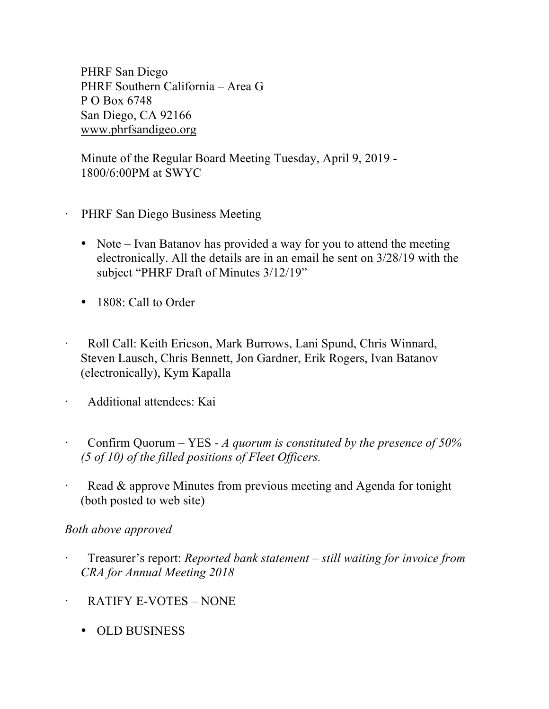PHRF San Diego PHRF Southern California – Area G P O Box 6748 San Diego, CA 92166 www.phrfsandigeo.org

Minute of the Regular Board Meeting Tuesday, April 9, 2019 - 1800/6:00PM at SWYC

- PHRF San Diego Business Meeting
- Note Ivan Batanov has provided a way for you to attend the meeting electronically. All the details are in an email he sent on 3/28/19 with the subject "PHRF Draft of Minutes 3/12/19"
- 1808: Call to Order
- · Roll Call: Keith Ericson, Mark Burrows, Lani Spund, Chris Winnard, Steven Lausch, Chris Bennett, Jon Gardner, Erik Rogers, Ivan Batanov (electronically), Kym Kapalla
- · Additional attendees: Kai
- · Confirm Quorum YES *A quorum is constituted by the presence of 50% (5 of 10) of the filled positions of Fleet Officers.*
- Read & approve Minutes from previous meeting and Agenda for tonight (both posted to web site)

### *Both above approved*

- · Treasurer's report: *Reported bank statement – still waiting for invoice from CRA for Annual Meeting 2018*
- RATIFY E-VOTES NONE
	- OLD BUSINESS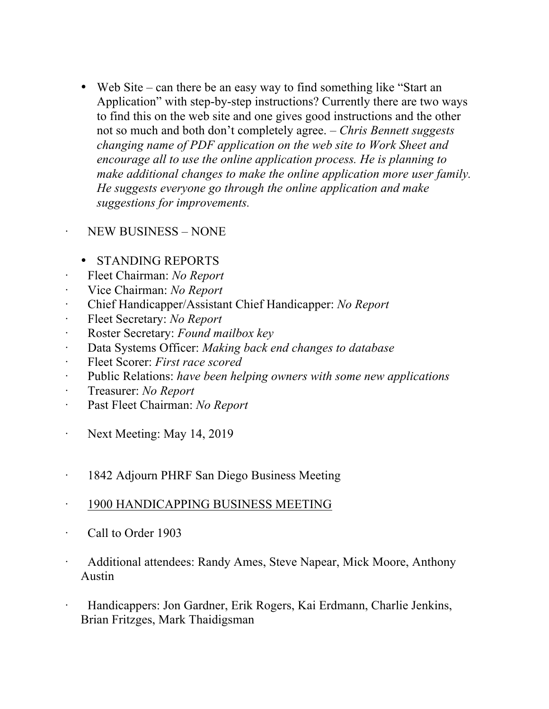• Web Site – can there be an easy way to find something like "Start an Application" with step-by-step instructions? Currently there are two ways to find this on the web site and one gives good instructions and the other not so much and both don't completely agree. – *Chris Bennett suggests changing name of PDF application on the web site to Work Sheet and encourage all to use the online application process. He is planning to make additional changes to make the online application more user family. He suggests everyone go through the online application and make suggestions for improvements.* 

## · NEW BUSINESS – NONE

## • STANDING REPORTS

- · Fleet Chairman: *No Report*
- · Vice Chairman: *No Report*
- · Chief Handicapper/Assistant Chief Handicapper: *No Report*
- · Fleet Secretary: *No Report*
- · Roster Secretary: *Found mailbox key*
- · Data Systems Officer: *Making back end changes to database*
- · Fleet Scorer: *First race scored*
- · Public Relations: *have been helping owners with some new applications*
- · Treasurer: *No Report*
- · Past Fleet Chairman: *No Report*
- · Next Meeting: May 14, 2019
- · 1842 Adjourn PHRF San Diego Business Meeting

### · 1900 HANDICAPPING BUSINESS MEETING

- · Call to Order 1903
- Additional attendees: Randy Ames, Steve Napear, Mick Moore, Anthony Austin
- · Handicappers: Jon Gardner, Erik Rogers, Kai Erdmann, Charlie Jenkins, Brian Fritzges, Mark Thaidigsman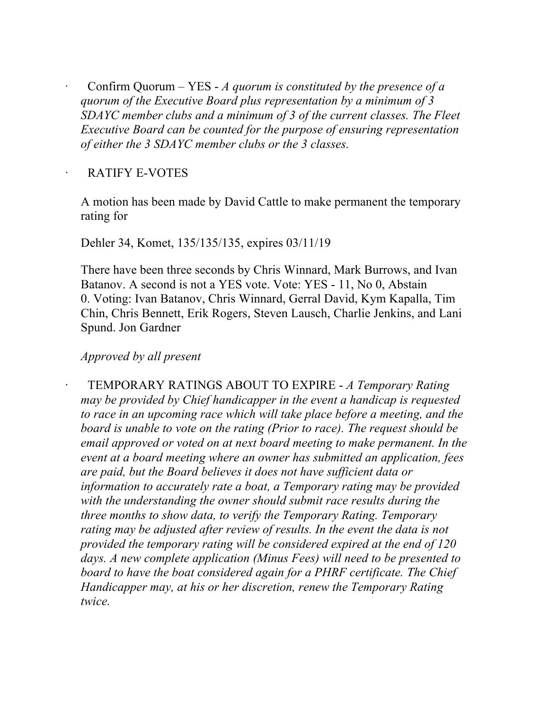· Confirm Quorum – YES - *A quorum is constituted by the presence of a quorum of the Executive Board plus representation by a minimum of 3 SDAYC member clubs and a minimum of 3 of the current classes. The Fleet Executive Board can be counted for the purpose of ensuring representation of either the 3 SDAYC member clubs or the 3 classes.*

#### RATIFY E-VOTES

A motion has been made by David Cattle to make permanent the temporary rating for

Dehler 34, Komet, 135/135/135, expires 03/11/19

There have been three seconds by Chris Winnard, Mark Burrows, and Ivan Batanov. A second is not a YES vote. Vote: YES - 11, No 0, Abstain 0. Voting: Ivan Batanov, Chris Winnard, Gerral David, Kym Kapalla, Tim Chin, Chris Bennett, Erik Rogers, Steven Lausch, Charlie Jenkins, and Lani Spund. Jon Gardner

## *Approved by all present*

· TEMPORARY RATINGS ABOUT TO EXPIRE - *A Temporary Rating may be provided by Chief handicapper in the event a handicap is requested to race in an upcoming race which will take place before a meeting, and the board is unable to vote on the rating (Prior to race). The request should be email approved or voted on at next board meeting to make permanent. In the event at a board meeting where an owner has submitted an application, fees are paid, but the Board believes it does not have sufficient data or information to accurately rate a boat, a Temporary rating may be provided with the understanding the owner should submit race results during the three months to show data, to verify the Temporary Rating. Temporary*  rating may be adjusted after review of results. In the event the data is not *provided the temporary rating will be considered expired at the end of 120 days. A new complete application (Minus Fees) will need to be presented to board to have the boat considered again for a PHRF certificate. The Chief Handicapper may, at his or her discretion, renew the Temporary Rating twice.*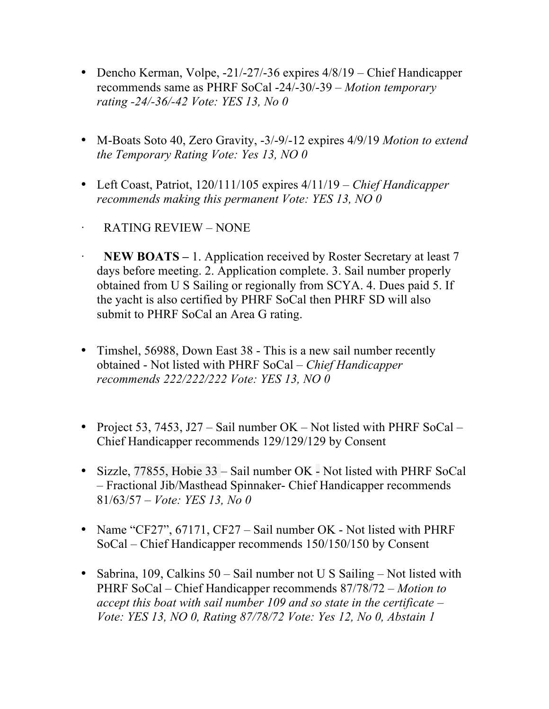- Dencho Kerman, Volpe, -21/-27/-36 expires  $4/8/19$  Chief Handicapper recommends same as PHRF SoCal -24/-30/-39 – *Motion temporary rating -24/-36/-42 Vote: YES 13, No 0*
- M-Boats Soto 40, Zero Gravity, -3/-9/-12 expires 4/9/19 *Motion to extend the Temporary Rating Vote: Yes 13, NO 0*
- Left Coast, Patriot, 120/111/105 expires 4/11/19 *Chief Handicapper recommends making this permanent Vote: YES 13, NO 0*
- · RATING REVIEW NONE
- **NEW BOATS** 1. Application received by Roster Secretary at least 7 days before meeting. 2. Application complete. 3. Sail number properly obtained from U S Sailing or regionally from SCYA. 4. Dues paid 5. If the yacht is also certified by PHRF SoCal then PHRF SD will also submit to PHRF SoCal an Area G rating.
- Timshel, 56988, Down East 38 This is a new sail number recently obtained - Not listed with PHRF SoCal – *Chief Handicapper recommends 222/222/222 Vote: YES 13, NO 0*
- Project 53, 7453, J27 Sail number OK Not listed with PHRF SoCal Chief Handicapper recommends 129/129/129 by Consent
- Sizzle, 77855, Hobie 33 Sail number OK Not listed with PHRF SoCal – Fractional Jib/Masthead Spinnaker- Chief Handicapper recommends 81/63/57 – *Vote: YES 13, No 0*
- Name "CF27", 67171, CF27 Sail number OK Not listed with PHRF SoCal – Chief Handicapper recommends 150/150/150 by Consent
- Sabrina, 109, Calkins 50 Sail number not U S Sailing Not listed with PHRF SoCal – Chief Handicapper recommends 87/78/72 – *Motion to accept this boat with sail number 109 and so state in the certificate – Vote: YES 13, NO 0, Rating 87/78/72 Vote: Yes 12, No 0, Abstain 1*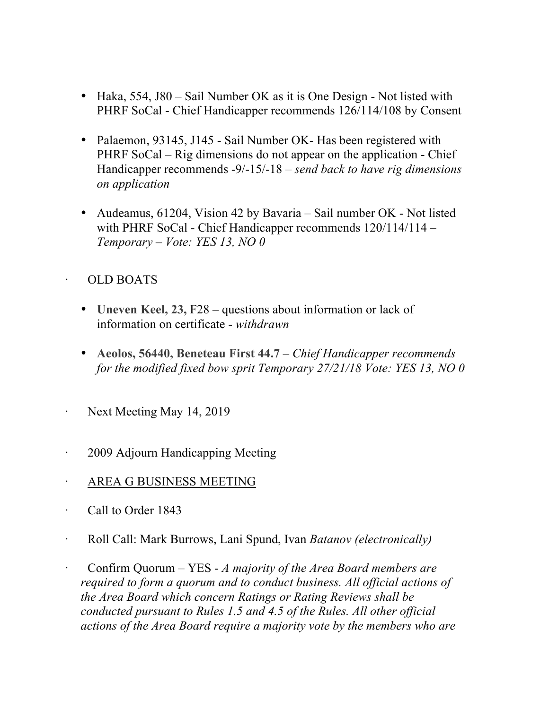- Haka, 554, J80 Sail Number OK as it is One Design Not listed with PHRF SoCal - Chief Handicapper recommends 126/114/108 by Consent
- Palaemon, 93145, J145 Sail Number OK Has been registered with PHRF SoCal – Rig dimensions do not appear on the application - Chief Handicapper recommends -9/-15/-18 – *send back to have rig dimensions on application*
- Audeamus, 61204, Vision 42 by Bavaria Sail number OK Not listed with PHRF SoCal - Chief Handicapper recommends  $120/114/114$  -*Temporary – Vote: YES 13, NO 0*

# · OLD BOATS

- **Uneven Keel, 23, F28** questions about information or lack of information on certificate - *withdrawn*
- **Aeolos, 56440, Beneteau First 44.7** *Chief Handicapper recommends for the modified fixed bow sprit Temporary 27/21/18 Vote: YES 13, NO 0*
- Next Meeting May 14, 2019
- 2009 Adjourn Handicapping Meeting
- · AREA G BUSINESS MEETING
- · Call to Order 1843
- · Roll Call: Mark Burrows, Lani Spund, Ivan *Batanov (electronically)*
- · Confirm Quorum YES *A majority of the Area Board members are required to form a quorum and to conduct business. All official actions of the Area Board which concern Ratings or Rating Reviews shall be conducted pursuant to Rules 1.5 and 4.5 of the Rules. All other official actions of the Area Board require a majority vote by the members who are*